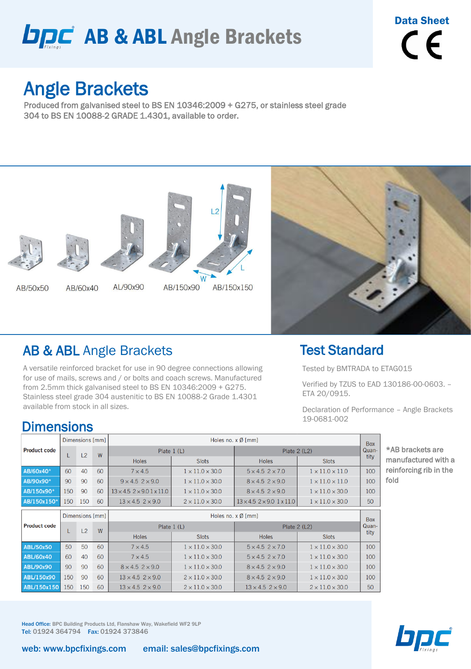# **DDC** AB & ABL Angle Brackets

Data Sheet  $\epsilon$ 

## Angle Brackets

Produced from galvanised steel to BS EN 10346:2009 + G275, or stainless steel grade 304 to BS EN 10088-2 GRADE 1.4301, available to order.



#### AB & ABL Angle Brackets

A versatile reinforced bracket for use in 90 degree connections allowing for use of mails, screws and / or bolts and coach screws. Manufactured from 2.5mm thick galvanised steel to BS EN 10346:2009 + G275. Stainless steel grade 304 austenitic to BS EN 10088-2 Grade 1.4301 available from stock in all sizes.

#### Test Standard

Tested by BMTRADA to ETAG015

Verified by TZUS to EAD 130186-00-0603. – ETA 20/0915.

Declaration of Performance – Angle Brackets 19-0681-002

#### **Dimensions**

|                     |                 | Dimensions [mm] |    |                                                | <b>Box</b>                  |                                                |                             |               |                        |
|---------------------|-----------------|-----------------|----|------------------------------------------------|-----------------------------|------------------------------------------------|-----------------------------|---------------|------------------------|
| <b>Product code</b> |                 | L2              | W  | Plate $1(L)$                                   |                             | Plate $2(L2)$                                  |                             | Quan-<br>tity | *AB brackets are       |
|                     |                 |                 |    | <b>Holes</b>                                   | <b>Slots</b>                | <b>Holes</b>                                   | <b>Slots</b>                |               | manufactured with a    |
| AB/60x40*           | 60              | 40              | 60 | $7 \times 4.5$                                 | $1 \times 11.0 \times 30.0$ | $5 \times 4.5$ 2 $\times$ 7.0                  | $1 \times 11.0 \times 11.0$ | 100           | reinforcing rib in the |
| AB/90x90*           | 90              | 90              | 60 | $9 \times 4.5$ 2 $\times$ 9.0                  | $1 \times 11.0 \times 30.0$ | $8 \times 4.5$ 2 $\times$ 9.0                  | $1 \times 11.0 \times 11.0$ | 100           | fold                   |
| AB/150x90*          | 150             | 90              | 60 | $13 \times 4.5$ 2 $\times$ 9.0 1 $\times$ 11.0 | $1 \times 11.0 \times 30.0$ | $8 \times 4.5$ 2 $\times$ 9.0                  | $1 \times 11.0 \times 30.0$ | 100           |                        |
| AB/150x150*         | 150             | 150             | 60 | $13 \times 4.5$ 2 $\times$ 9.0                 | $2 \times 11.0 \times 30.0$ | $13 \times 4.5$ 2 $\times$ 9.0 1 $\times$ 11.0 | $1 \times 11.0 \times 30.0$ | 50            |                        |
|                     | Dimensions [mm] |                 |    |                                                | <b>Box</b>                  |                                                |                             |               |                        |
| <b>Product code</b> |                 | L2              | W  | Plate $1(L)$                                   |                             | Plate $2(L2)$                                  |                             |               |                        |
|                     |                 |                 |    | <b>Holes</b>                                   | <b>Slots</b>                | <b>Holes</b>                                   | <b>Slots</b>                | tity          |                        |
| <b>ABL/50x50</b>    | 50              | 50              | 60 | $7 \times 4.5$                                 | $1 \times 11.0 \times 30.0$ | $5 \times 4.5$ 2 $\times$ 7.0                  | $1 \times 11.0 \times 30.0$ | 100           |                        |
| <b>ABL/60x40</b>    | 60              | 40              | 60 | $7 \times 4.5$                                 | $1 \times 11.0 \times 30.0$ | $5 \times 4.5$ 2 $\times$ 7.0                  | $1 \times 11.0 \times 30.0$ | 100           |                        |
| <b>ABL/90x90</b>    | 90              | 90              | 60 | $8 \times 4.5$ 2 $\times$ 9.0                  | $1 \times 11.0 \times 30.0$ | $8 \times 4.5$ 2 $\times$ 9.0                  | $1 \times 11.0 \times 30.0$ | 100           |                        |
| <b>ABL/150x90</b>   | 150             | 90              | 60 | $13 \times 4.5$ 2 $\times$ 9.0                 | $2 \times 11.0 \times 30.0$ | $8 \times 4.5$ 2 $\times$ 9.0                  | $1 \times 11.0 \times 30.0$ | 100           |                        |
| ABL/150x150         | 150             | 150             | 60 | $13 \times 4.5$ 2 $\times$ 9.0                 | $2 \times 11.0 \times 30.0$ | $13 \times 4.5$ 2 $\times$ 9.0                 | $2 \times 11.0 \times 30.0$ | 50            |                        |

Head Office: BPC Building Products Ltd, Flanshaw Way, Wakefield WF2 9LP Tel: 01924 364794 Fax: 01924 373846

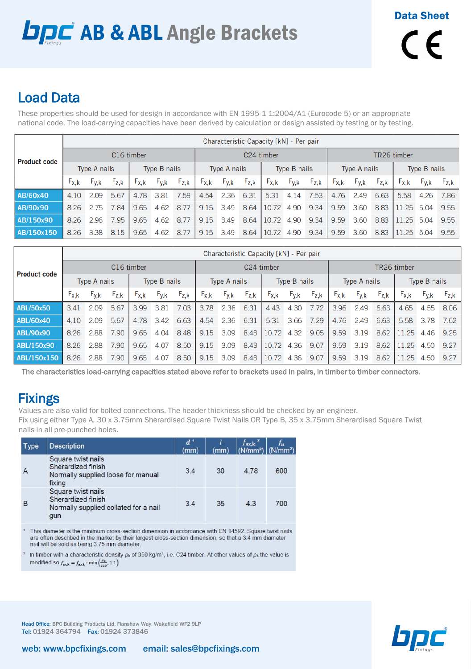# **DDC** AB & ABL Angle Brackets

### Load Data

These properties should be used for design in accordance with EN 1995-1-1:2004/A1 (Eurocode 5) or an appropriate national code. The load-carrying capacities have been derived by calculation or design assisted by testing or by testing.

| <b>Product code</b> |                        | Characteristic Capacity [kN] - Per pair |           |                     |           |           |                        |           |             |                     |           |           |                     |                   |           |                     |           |           |
|---------------------|------------------------|-----------------------------------------|-----------|---------------------|-----------|-----------|------------------------|-----------|-------------|---------------------|-----------|-----------|---------------------|-------------------|-----------|---------------------|-----------|-----------|
|                     | C <sub>16</sub> timber |                                         |           |                     |           |           | C <sub>24</sub> timber |           |             |                     |           |           | TR26 timber         |                   |           |                     |           |           |
|                     | <b>Type A nails</b>    |                                         |           | <b>Type B nails</b> |           |           | <b>Type A nails</b>    |           |             | <b>Type B nails</b> |           |           | <b>Type A nails</b> |                   |           | <b>Type B nails</b> |           |           |
|                     | $F_{X,k}$              | $F_{V,K}$                               | $F_{Z,K}$ | $F_{X,K}$           | $F_{V,k}$ | $F_{Z,k}$ | $F_{X,K}$              | $F_{y,k}$ | $F_{Z,k}$ ' | $F_{X,k}$           | $F_{y,k}$ | $F_{Z,k}$ | $F_{X,k}$           | F <sub>y, k</sub> | $F_{Z,k}$ | $F_{X,K}$           | $F_{V,K}$ | $F_{Z,k}$ |
| AB/60x40            | 4.10                   | 2.09                                    | 5.67      | 4.78 3.81           |           | 7.59      | 4.54                   | 2.36      | 6.31        | 5.31                | 4.14      | 7.53      | 4.76                | 2.49              | 6.63      | 5.58                | 4.26      | 7.86      |
| AB/90x90            | 8.26                   | 2.75                                    | 7.84      | 9.65                | 4.62      | 8.77      | 9.15                   | 3.49      |             | 8.64   10.72        | 4.90      | 9.34      | 9.59                | 3.60              | 8.83      | 11.25               | 5.04      | 9.55      |
| AB/150x90           | 8.26                   | 2.96                                    | 7.95      | 9.65                | 4.62      | 8.77      | 9.15                   | 3.49      |             | 8.64 10.72 4.90     |           | 9.34      | 9.59                | 3.60              | 8.83      | 11.25               | 5.04      | 9.55      |
| AB/150x150          | 8.26                   | 3.38                                    | 8.15      | 9.65                | 4.62      | 8.77      | 9.15                   | 3.49      |             | 8.64   10.72        | 4.90      | 9.34      | 9.59                | 3.60              | 8.83      | 11.25               | 5.04      | 9.55      |

| <b>Product code</b> |                        | Characteristic Capacity [kN] - Per pair |           |              |           |           |                        |           |           |                     |           |           |              |           |           |              |                  |           |
|---------------------|------------------------|-----------------------------------------|-----------|--------------|-----------|-----------|------------------------|-----------|-----------|---------------------|-----------|-----------|--------------|-----------|-----------|--------------|------------------|-----------|
|                     | C <sub>16</sub> timber |                                         |           |              |           |           | C <sub>24</sub> timber |           |           |                     |           |           | TR26 timber  |           |           |              |                  |           |
|                     | <b>Type A nails</b>    |                                         |           | Type B nails |           |           | <b>Type A nails</b>    |           |           | <b>Type B nails</b> |           |           | Type A nails |           |           | Type B nails |                  |           |
|                     | $F_{X,k}$              | t <sub>v.k</sub>                        | $F_{Z,k}$ | $F_{X,k}$    | $F_{V,k}$ | $F_{Z,k}$ | $F_{X,k}$              | $F_{V,k}$ | $F_{Z,k}$ | $F_{X,k}$           | $F_{V,k}$ | $F_{Z,k}$ | $F_{X,k}$    | $F_{y,k}$ | $F_{Z,k}$ | $F_{X,k}$    | <sup>F</sup> y,k | $F_{Z,k}$ |
| <b>ABL/50x50</b>    | 3.41                   | 2.09                                    | 5.67      | 3.99         | 3.81      | 7.03      | 3.78                   | 2.36      | 6.31      | 4.43                | 4.30      | 7.72      | 3.96         | 2.49      | 6.63      | 4.65         | 4.55             | 8.06      |
| <b>ABL/60x40</b>    | 4.10                   | 2.09                                    | 5.67      | 4.78         | 3.42      | 6.63      | 4.54                   | 2.36      | 6.31      | 5.31                | 3.66      | 7.29      | 4.76         | 2.49      | 6.63      | 5.58         | 3.78             | 7.62      |
| <b>ABL/90x90</b>    | 8.26                   | 2.88                                    | 7.90      | 9.65         | 4.04      | 8.48      | 9.15                   | 3.09      |           | 8.43 10.72 4.32     |           | 9.05      | 9.59         | 3.19      | 8.62      | 11.25        | 4.46             | 9.25      |
| <b>ABL/150x90</b>   | 8.26                   | 2.88                                    | 7.90      | 9.65         | 4.07      | 8.50      | 9.15                   | 3.09      |           | 8.43 10.72 4.36     |           | 9.07      | 9.59         | 3.19      | 8.62      | 11.25        | 4.50             | 9.27      |
| <b>ABL/150x150</b>  | 8.26                   | 2.88                                    | 7.90      | 9.65         | 4.07      | 8.50      | 9.15                   | 3.09      |           | 8.43 10.72 4.36     |           | 9.07      | 9.59         | 3.19      | 8.62      | 11.25        | 4.50             | 9.27      |

The characteristics load-carrying capacities stated above refer to brackets used in pairs, in timber to timber connectors.

### **Fixings**

Values are also valid for bolted connections. The header thickness should be checked by an engineer. Fix using either Type A, 30 x 3.75mm Sherardised Square Twist Nails OR Type B, 35 x 3.75mm Sherardised Square Twist nails in all pre-punched holes.

| <b>Type</b> | <b>Description</b>                                                                       | $d^{\,1}$<br>(mm) | (mm) | $f_{\rm ax,k}$ <sup>2</sup><br>$(N/mm2)$ (N/mm <sup>2</sup> ) |     |
|-------------|------------------------------------------------------------------------------------------|-------------------|------|---------------------------------------------------------------|-----|
|             | Square twist nails<br>Sherardized finish<br>Normally supplied loose for manual<br>fixing | 3.4               | 30   | 4.78                                                          | 600 |
| В           | Square twist nails<br>Sherardized finish<br>Normally supplied collated for a nail<br>gun | 3.4               | 35   | 4.3                                                           | 700 |

This diameter is the minimum cross-section dimension in accordance with EN 14592. Square twist nails are often described in the market by their largest cross-section dimension, so that a 3.4 mm diameter nail will be sold as being 3.75 mm diameter

<sup>2</sup> In timber with a characteristic density  $\rho_k$  of 350 kg/m<sup>3</sup>, i.e. C24 timber. At other values of  $\rho_k$  the value is modified so  $f_{\text{axk}} = f_{\text{axk}} \cdot \min\left(\frac{\rho_k}{\text{250}}, 1.1\right)$ 

Head Office: BPC Building Products Ltd, Flanshaw Way, Wakefield WF2 9LP Tel: 01924 364794 Fax: 01924 373846